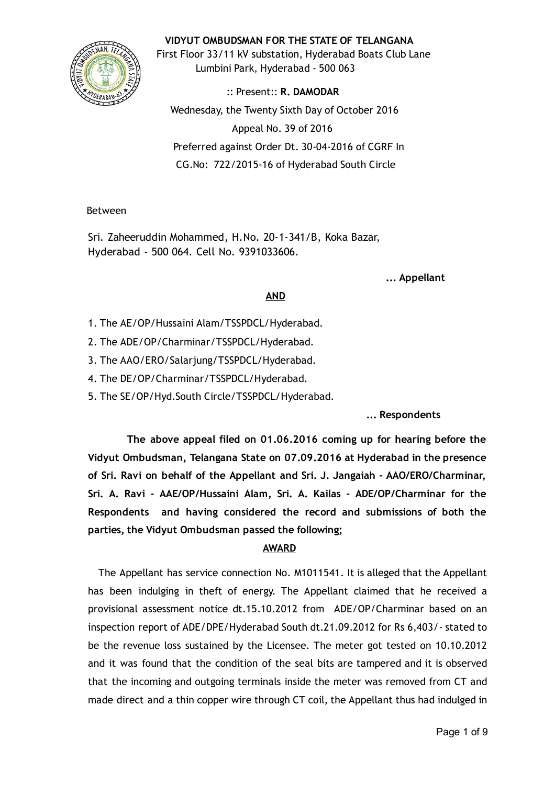## VIDYUT OMBUDSMAN FOR THE STATE OF TELANGANA



First Floor 33/11 kV substation, Hyderabad Boats Club Lane Lumbini Park, Hyderabad ‐ 500 063

:: Present:: R. DAMODAR Wednesday, the Twenty Sixth Day of October 2016 Appeal No. 39 of 2016 Preferred against Order Dt. 30‐04‐2016 of CGRF In CG.No: 722/2015‐16 of Hyderabad South Circle

Between

Sri. Zaheeruddin Mohammed, H.No. 20‐1‐341/B, Koka Bazar, Hyderabad ‐ 500 064. Cell No. 9391033606.

... Appellant

# AND

- 1. The AE/OP/Hussaini Alam/TSSPDCL/Hyderabad.
- 2. The ADE/OP/Charminar/TSSPDCL/Hyderabad.
- 3. The AAO/ERO/Salarjung/TSSPDCL/Hyderabad.
- 4. The DE/OP/Charminar/TSSPDCL/Hyderabad.
- 5. The SE/OP/Hyd.South Circle/TSSPDCL/Hyderabad.

... Respondents

The above appeal filed on 01.06.2016 coming up for hearing before the Vidyut Ombudsman, Telangana State on 07.09.2016 at Hyderabad in the presence of Sri. Ravi on behalf of the Appellant and Sri. J. Jangaiah ‐ AAO/ERO/Charminar, Sri. A. Ravi ‐ AAE/OP/Hussaini Alam, Sri. A. Kailas ‐ ADE/OP/Charminar for the Respondents and having considered the record and submissions of both the parties, the Vidyut Ombudsman passed the following;

## AWARD

The Appellant has service connection No. M1011541. It is alleged that the Appellant has been indulging in theft of energy. The Appellant claimed that he received a provisional assessment notice dt.15.10.2012 from ADE/OP/Charminar based on an inspection report of ADE/DPE/Hyderabad South dt.21.09.2012 for Rs 6,403/‐ stated to be the revenue loss sustained by the Licensee. The meter got tested on 10.10.2012 and it was found that the condition of the seal bits are tampered and it is observed that the incoming and outgoing terminals inside the meter was removed from CT and made direct and a thin copper wire through CT coil, the Appellant thus had indulged in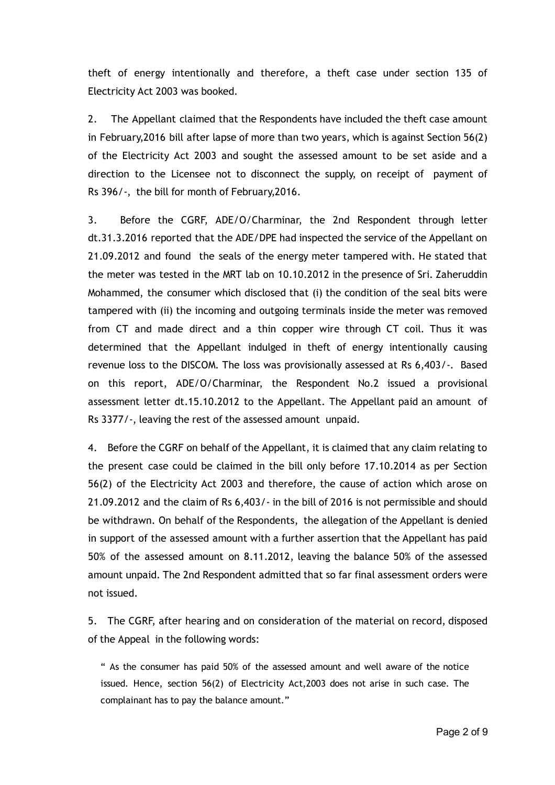theft of energy intentionally and therefore, a theft case under section 135 of Electricity Act 2003 was booked.

2. The Appellant claimed that the Respondents have included the theft case amount in February,2016 bill after lapse of more than two years, which is against Section 56(2) of the Electricity Act 2003 and sought the assessed amount to be set aside and a direction to the Licensee not to disconnect the supply, on receipt of payment of Rs 396/‐, the bill for month of February,2016.

3. Before the CGRF, ADE/O/Charminar, the 2nd Respondent through letter dt.31.3.2016 reported that the ADE/DPE had inspected the service of the Appellant on 21.09.2012 and found the seals of the energy meter tampered with. He stated that the meter was tested in the MRT lab on 10.10.2012 in the presence of Sri. Zaheruddin Mohammed, the consumer which disclosed that (i) the condition of the seal bits were tampered with (ii) the incoming and outgoing terminals inside the meter was removed from CT and made direct and a thin copper wire through CT coil. Thus it was determined that the Appellant indulged in theft of energy intentionally causing revenue loss to the DISCOM. The loss was provisionally assessed at Rs 6,403/‐. Based on this report, ADE/O/Charminar, the Respondent No.2 issued a provisional assessment letter dt.15.10.2012 to the Appellant. The Appellant paid an amount of Rs 3377/‐, leaving the rest of the assessed amount unpaid.

4. Before the CGRF on behalf of the Appellant, it is claimed that any claim relating to the present case could be claimed in the bill only before 17.10.2014 as per Section 56(2) of the Electricity Act 2003 and therefore, the cause of action which arose on 21.09.2012 and the claim of Rs 6,403/‐ in the bill of 2016 is not permissible and should be withdrawn. On behalf of the Respondents, the allegation of the Appellant is denied in support of the assessed amount with a further assertion that the Appellant has paid 50% of the assessed amount on 8.11.2012, leaving the balance 50% of the assessed amount unpaid. The 2nd Respondent admitted that so far final assessment orders were not issued.

5. The CGRF, after hearing and on consideration of the material on record, disposed of the Appeal in the following words:

" As the consumer has paid 50% of the assessed amount and well aware of the notice issued. Hence, section 56(2) of Electricity Act,2003 does not arise in such case. The complainant has to pay the balance amount."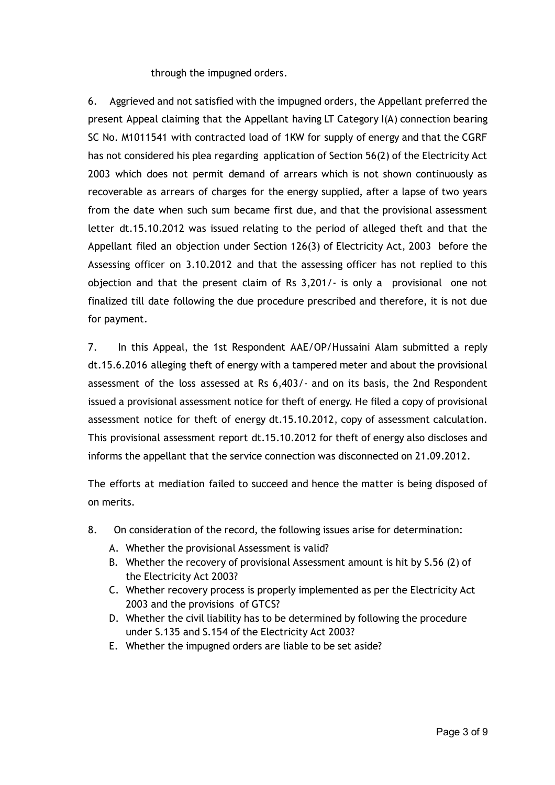through the impugned orders.

6. Aggrieved and not satisfied with the impugned orders, the Appellant preferred the present Appeal claiming that the Appellant having LT Category I(A) connection bearing SC No. M1011541 with contracted load of 1KW for supply of energy and that the CGRF has not considered his plea regarding application of Section 56(2) of the Electricity Act 2003 which does not permit demand of arrears which is not shown continuously as recoverable as arrears of charges for the energy supplied, after a lapse of two years from the date when such sum became first due, and that the provisional assessment letter dt.15.10.2012 was issued relating to the period of alleged theft and that the Appellant filed an objection under Section 126(3) of Electricity Act, 2003 before the Assessing officer on 3.10.2012 and that the assessing officer has not replied to this objection and that the present claim of Rs 3,201/‐ is only a provisional one not finalized till date following the due procedure prescribed and therefore, it is not due for payment.

7. In this Appeal, the 1st Respondent AAE/OP/Hussaini Alam submitted a reply dt.15.6.2016 alleging theft of energy with a tampered meter and about the provisional assessment of the loss assessed at Rs 6,403/‐ and on its basis, the 2nd Respondent issued a provisional assessment notice for theft of energy. He filed a copy of provisional assessment notice for theft of energy dt.15.10.2012, copy of assessment calculation. This provisional assessment report dt.15.10.2012 for theft of energy also discloses and informs the appellant that the service connection was disconnected on 21.09.2012.

The efforts at mediation failed to succeed and hence the matter is being disposed of on merits.

- 8. On consideration of the record, the following issues arise for determination:
	- A. Whether the provisional Assessment is valid?
	- B. Whether the recovery of provisional Assessment amount is hit by S.56 (2) of the Electricity Act 2003?
	- C. Whether recovery process is properly implemented as per the Electricity Act 2003 and the provisions of GTCS?
	- D. Whether the civil liability has to be determined by following the procedure under S.135 and S.154 of the Electricity Act 2003?
	- E. Whether the impugned orders are liable to be set aside?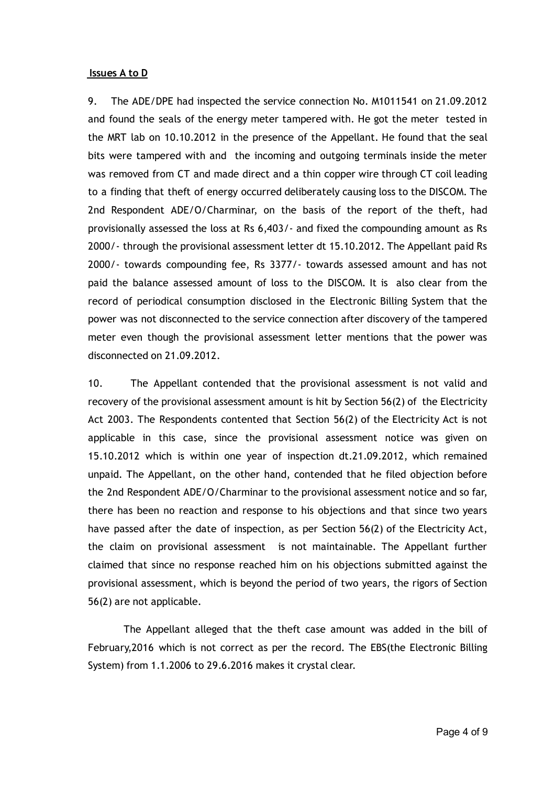#### Issues A to D

9. The ADE/DPE had inspected the service connection No. M1011541 on 21.09.2012 and found the seals of the energy meter tampered with. He got the meter tested in the MRT lab on 10.10.2012 in the presence of the Appellant. He found that the seal bits were tampered with and the incoming and outgoing terminals inside the meter was removed from CT and made direct and a thin copper wire through CT coil leading to a finding that theft of energy occurred deliberately causing loss to the DISCOM. The 2nd Respondent ADE/O/Charminar, on the basis of the report of the theft, had provisionally assessed the loss at Rs 6,403/‐ and fixed the compounding amount as Rs 2000/‐ through the provisional assessment letter dt 15.10.2012. The Appellant paid Rs 2000/‐ towards compounding fee, Rs 3377/‐ towards assessed amount and has not paid the balance assessed amount of loss to the DISCOM. It is also clear from the record of periodical consumption disclosed in the Electronic Billing System that the power was not disconnected to the service connection after discovery of the tampered meter even though the provisional assessment letter mentions that the power was disconnected on 21.09.2012.

10. The Appellant contended that the provisional assessment is not valid and recovery of the provisional assessment amount is hit by Section 56(2) of the Electricity Act 2003. The Respondents contented that Section 56(2) of the Electricity Act is not applicable in this case, since the provisional assessment notice was given on 15.10.2012 which is within one year of inspection dt.21.09.2012, which remained unpaid. The Appellant, on the other hand, contended that he filed objection before the 2nd Respondent ADE/O/Charminar to the provisional assessment notice and so far, there has been no reaction and response to his objections and that since two years have passed after the date of inspection, as per Section 56(2) of the Electricity Act, the claim on provisional assessment is not maintainable. The Appellant further claimed that since no response reached him on his objections submitted against the provisional assessment, which is beyond the period of two years, the rigors of Section 56(2) are not applicable.

The Appellant alleged that the theft case amount was added in the bill of February,2016 which is not correct as per the record. The EBS(the Electronic Billing System) from 1.1.2006 to 29.6.2016 makes it crystal clear.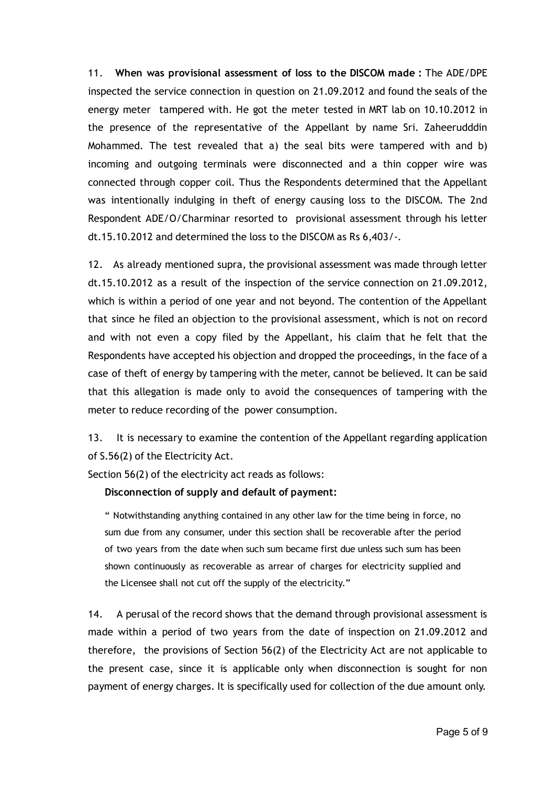11. When was provisional assessment of loss to the DISCOM made : The ADE/DPE inspected the service connection in question on 21.09.2012 and found the seals of the energy meter tampered with. He got the meter tested in MRT lab on 10.10.2012 in the presence of the representative of the Appellant by name Sri. Zaheerudddin Mohammed. The test revealed that a) the seal bits were tampered with and b) incoming and outgoing terminals were disconnected and a thin copper wire was connected through copper coil. Thus the Respondents determined that the Appellant was intentionally indulging in theft of energy causing loss to the DISCOM. The 2nd Respondent ADE/O/Charminar resorted to provisional assessment through his letter dt.15.10.2012 and determined the loss to the DISCOM as Rs 6,403/‐.

12. As already mentioned supra, the provisional assessment was made through letter dt.15.10.2012 as a result of the inspection of the service connection on 21.09.2012, which is within a period of one year and not beyond. The contention of the Appellant that since he filed an objection to the provisional assessment, which is not on record and with not even a copy filed by the Appellant, his claim that he felt that the Respondents have accepted his objection and dropped the proceedings, in the face of a case of theft of energy by tampering with the meter, cannot be believed. It can be said that this allegation is made only to avoid the consequences of tampering with the meter to reduce recording of the power consumption.

13. It is necessary to examine the contention of the Appellant regarding application of S.56(2) of the Electricity Act.

Section 56(2) of the electricity act reads as follows:

Disconnection of supply and default of payment:

" Notwithstanding anything contained in any other law for the time being in force, no sum due from any consumer, under this section shall be recoverable after the period of two years from the date when such sum became first due unless such sum has been shown continuously as recoverable as arrear of charges for electricity supplied and the Licensee shall not cut off the supply of the electricity."

14. A perusal of the record shows that the demand through provisional assessment is made within a period of two years from the date of inspection on 21.09.2012 and therefore, the provisions of Section 56(2) of the Electricity Act are not applicable to the present case, since it is applicable only when disconnection is sought for non payment of energy charges. It is specifically used for collection of the due amount only.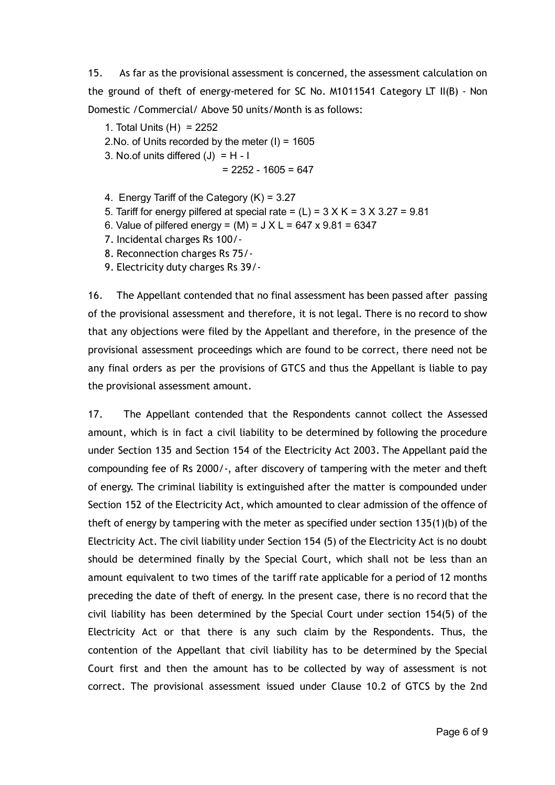15. As far as the provisional assessment is concerned, the assessment calculation on the ground of theft of energy‐metered for SC No. M1011541 Category LT II(B) ‐ Non Domestic /Commercial/ Above 50 units/Month is as follows:

1. Total Units (H) = 2252

2. No. of Units recorded by the meter  $(I) = 1605$ 

3. No.of units differed  $(J) = H - I$ 

$$
= 2252 - 1605 = 647
$$

- 4. Energy Tariff of the Category (K) = 3.27
- 5. Tariff for energy pilfered at special rate =  $(L)$  =  $3 \times K$  =  $3 \times 3.27$  =  $9.81$
- 6. Value of pilfered energy =  $(M)$  =  $J X L$  = 647 x 9.81 = 6347
- 7. Incidental charges Rs 100/‐
- 8. Reconnection charges Rs 75/‐
- 9. Electricity duty charges Rs 39/‐

16. The Appellant contended that no final assessment has been passed after passing of the provisional assessment and therefore, it is not legal. There is no record to show that any objections were filed by the Appellant and therefore, in the presence of the provisional assessment proceedings which are found to be correct, there need not be any final orders as per the provisions of GTCS and thus the Appellant is liable to pay the provisional assessment amount.

17. The Appellant contended that the Respondents cannot collect the Assessed amount, which is in fact a civil liability to be determined by following the procedure under Section 135 and Section 154 of the Electricity Act 2003. The Appellant paid the compounding fee of Rs 2000/‐, after discovery of tampering with the meter and theft of energy. The criminal liability is extinguished after the matter is compounded under Section 152 of the Electricity Act, which amounted to clear admission of the offence of theft of energy by tampering with the meter as specified under section 135(1)(b) of the Electricity Act. The civil liability under Section 154 (5) of the Electricity Act is no doubt should be determined finally by the Special Court, which shall not be less than an amount equivalent to two times of the tariff rate applicable for a period of 12 months preceding the date of theft of energy. In the present case, there is no record that the civil liability has been determined by the Special Court under section 154(5) of the Electricity Act or that there is any such claim by the Respondents. Thus, the contention of the Appellant that civil liability has to be determined by the Special Court first and then the amount has to be collected by way of assessment is not correct. The provisional assessment issued under Clause 10.2 of GTCS by the 2nd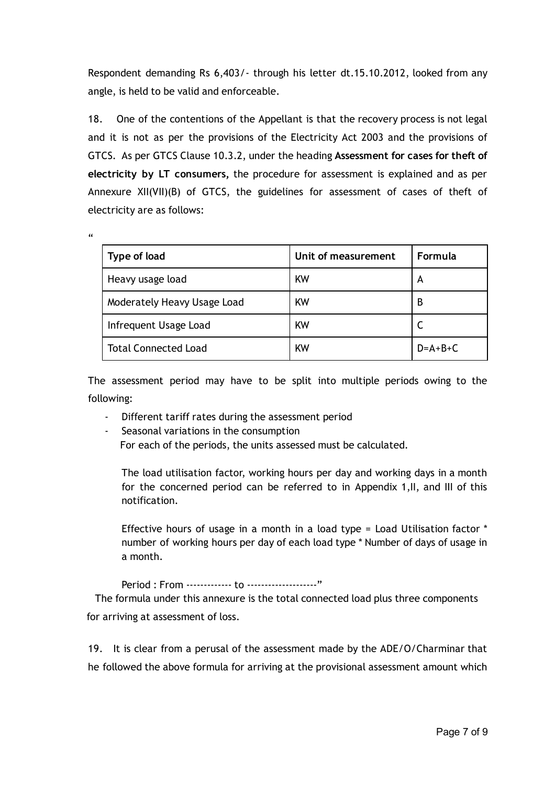Respondent demanding Rs 6,403/‐ through his letter dt.15.10.2012, looked from any angle, is held to be valid and enforceable.

18. One of the contentions of the Appellant is that the recovery process is not legal and it is not as per the provisions of the Electricity Act 2003 and the provisions of GTCS. As per GTCS Clause 10.3.2, under the heading Assessment for cases for theft of electricity by LT consumers, the procedure for assessment is explained and as per Annexure XII(VII)(B) of GTCS, the guidelines for assessment of cases of theft of electricity are as follows:

 $\epsilon$ 

| Type of load                | Unit of measurement | Formula   |
|-----------------------------|---------------------|-----------|
| Heavy usage load            | <b>KW</b>           | A         |
| Moderately Heavy Usage Load | <b>KW</b>           | B         |
| Infrequent Usage Load       | <b>KW</b>           |           |
| <b>Total Connected Load</b> | KW                  | $D=A+B+C$ |

The assessment period may have to be split into multiple periods owing to the following:

- ‐ Different tariff rates during the assessment period
- ‐ Seasonal variations in the consumption

For each of the periods, the units assessed must be calculated.

The load utilisation factor, working hours per day and working days in a month for the concerned period can be referred to in Appendix 1,II, and III of this notification.

Effective hours of usage in a month in a load type = Load Utilisation factor \* number of working hours per day of each load type \* Number of days of usage in a month.

Period : From ‐‐‐‐‐‐‐‐‐‐‐‐‐ to ‐‐‐‐‐‐‐‐‐‐‐‐‐‐‐‐‐‐‐‐"

The formula under this annexure is the total connected load plus three components for arriving at assessment of loss.

19. It is clear from a perusal of the assessment made by the ADE/O/Charminar that he followed the above formula for arriving at the provisional assessment amount which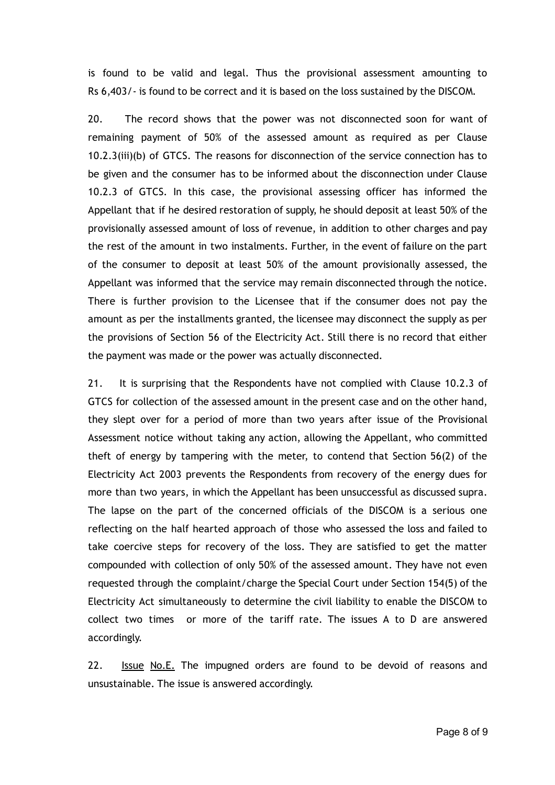is found to be valid and legal. Thus the provisional assessment amounting to Rs 6,403/‐ is found to be correct and it is based on the loss sustained by the DISCOM.

20. The record shows that the power was not disconnected soon for want of remaining payment of 50% of the assessed amount as required as per Clause 10.2.3(iii)(b) of GTCS. The reasons for disconnection of the service connection has to be given and the consumer has to be informed about the disconnection under Clause 10.2.3 of GTCS. In this case, the provisional assessing officer has informed the Appellant that if he desired restoration of supply, he should deposit at least 50% of the provisionally assessed amount of loss of revenue, in addition to other charges and pay the rest of the amount in two instalments. Further, in the event of failure on the part of the consumer to deposit at least 50% of the amount provisionally assessed, the Appellant was informed that the service may remain disconnected through the notice. There is further provision to the Licensee that if the consumer does not pay the amount as per the installments granted, the licensee may disconnect the supply as per the provisions of Section 56 of the Electricity Act. Still there is no record that either the payment was made or the power was actually disconnected.

21. It is surprising that the Respondents have not complied with Clause 10.2.3 of GTCS for collection of the assessed amount in the present case and on the other hand, they slept over for a period of more than two years after issue of the Provisional Assessment notice without taking any action, allowing the Appellant, who committed theft of energy by tampering with the meter, to contend that Section 56(2) of the Electricity Act 2003 prevents the Respondents from recovery of the energy dues for more than two years, in which the Appellant has been unsuccessful as discussed supra. The lapse on the part of the concerned officials of the DISCOM is a serious one reflecting on the half hearted approach of those who assessed the loss and failed to take coercive steps for recovery of the loss. They are satisfied to get the matter compounded with collection of only 50% of the assessed amount. They have not even requested through the complaint/charge the Special Court under Section 154(5) of the Electricity Act simultaneously to determine the civil liability to enable the DISCOM to collect two times or more of the tariff rate. The issues A to D are answered accordingly.

22. Issue No.E. The impugned orders are found to be devoid of reasons and unsustainable. The issue is answered accordingly.